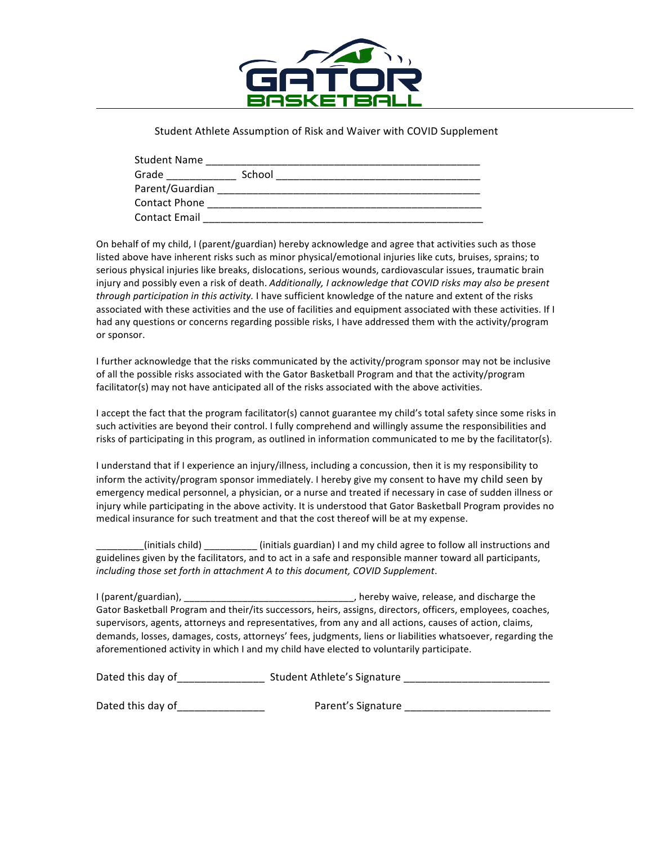

Student Athlete Assumption of Risk and Waiver with COVID Supplement

| <b>Student Name</b>  |        |  |
|----------------------|--------|--|
| Grade                | School |  |
| Parent/Guardian      |        |  |
| <b>Contact Phone</b> |        |  |
| <b>Contact Email</b> |        |  |

On behalf of my child, I (parent/guardian) hereby acknowledge and agree that activities such as those listed above have inherent risks such as minor physical/emotional injuries like cuts, bruises, sprains; to serious physical injuries like breaks, dislocations, serious wounds, cardiovascular issues, traumatic brain injury and possibly even a risk of death. *Additionally, I acknowledge that COVID risks may also be present through participation in this activity.* I have sufficient knowledge of the nature and extent of the risks associated with these activities and the use of facilities and equipment associated with these activities. If I had any questions or concerns regarding possible risks, I have addressed them with the activity/program or sponsor.

I further acknowledge that the risks communicated by the activity/program sponsor may not be inclusive of all the possible risks associated with the Gator Basketball Program and that the activity/program facilitator(s) may not have anticipated all of the risks associated with the above activities.

I accept the fact that the program facilitator(s) cannot guarantee my child's total safety since some risks in such activities are beyond their control. I fully comprehend and willingly assume the responsibilities and risks of participating in this program, as outlined in information communicated to me by the facilitator(s).

I understand that if I experience an injury/illness, including a concussion, then it is my responsibility to inform the activity/program sponsor immediately. I hereby give my consent to have my child seen by emergency medical personnel, a physician, or a nurse and treated if necessary in case of sudden illness or injury while participating in the above activity. It is understood that Gator Basketball Program provides no medical insurance for such treatment and that the cost thereof will be at my expense.

\_\_\_\_\_\_\_\_\_(initials child) \_\_\_\_\_\_\_\_\_\_ (initials guardian) I and my child agree to follow all instructions and guidelines given by the facilitators, and to act in a safe and responsible manner toward all participants, *including those set forth in attachment A to this document, COVID Supplement.* 

I (parent/guardian), \_\_\_\_\_\_\_\_\_\_\_\_\_\_\_\_\_\_\_\_\_\_\_\_\_\_\_\_\_\_\_\_\_\_, hereby waive, release, and discharge the Gator Basketball Program and their/its successors, heirs, assigns, directors, officers, employees, coaches, supervisors, agents, attorneys and representatives, from any and all actions, causes of action, claims, demands, losses, damages, costs, attorneys' fees, judgments, liens or liabilities whatsoever, regarding the aforementioned activity in which I and my child have elected to voluntarily participate.

| Dated this day of | Student Athlete's Signature |  |
|-------------------|-----------------------------|--|
|-------------------|-----------------------------|--|

Dated this day of\_\_\_\_\_\_\_\_\_\_\_\_\_\_\_ Parent's Signature \_\_\_\_\_\_\_\_\_\_\_\_\_\_\_\_\_\_\_\_\_\_\_\_\_